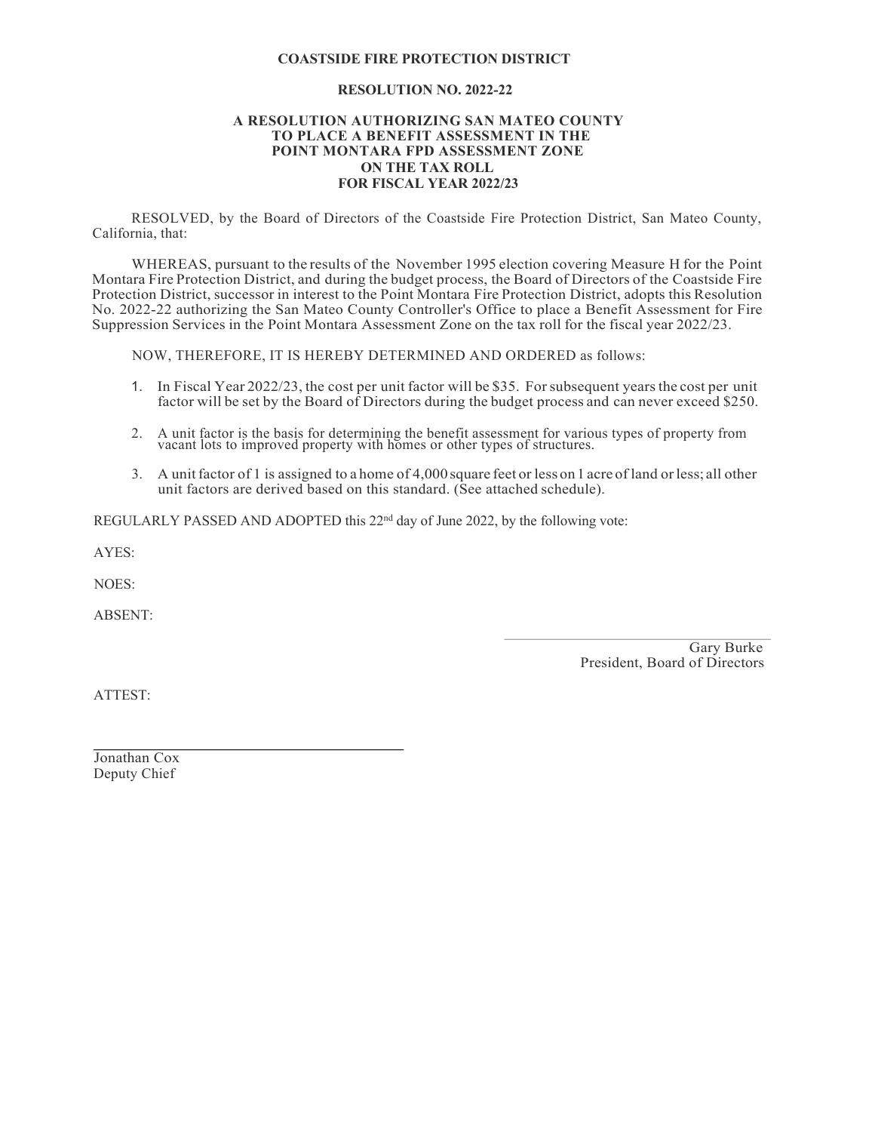# **COASTSIDE FIRE PROTECTION DISTRICT**

### **RESOLUTION NO. 2022-22**

#### **A RESOLUTION AUTHORIZING SAN MATEO COUNTY TO PLACE A BENEFIT ASSESSMENT IN THE POINT MONTARA FPD ASSESSMENT ZONE ON THE TAX ROLL FOR FISCAL YEAR 2022/23**

RESOLVED, by the Board of Directors of the Coastside Fire Protection District, San Mateo County, California, that:

WHEREAS, pursuant to the results of the November 1995 election covering Measure H for the Point Montara Fire Protection District, and during the budget process, the Board of Directors of the Coastside Fire Protection District, successor in interest to the Point Montara Fire Protection District, adopts this Resolution No. 2022-22 authorizing the San Mateo County Controller's Office to place a Benefit Assessment for Fire Suppression Services in the Point Montara Assessment Zone on the tax roll for the fiscal year 2022/23.

NOW, THEREFORE, IT IS HEREBY DETERMINED AND ORDERED as follows:

- 1. In Fiscal Year 2022/23, the cost per unit factor will be \$35. Forsubsequent yearsthe cost per unit factor will be set by the Board of Directors during the budget process and can never exceed \$250.
- 2. A unit factor is the basis for determining the benefit assessment for various types of property from vacant lots to improved property with homes or other types of structures.
- 3. A unitfactor of 1 is assigned to a home of 4,000square feet or less on1 acre of land orless; all other unit factors are derived based on this standard. (See attached schedule).

REGULARLY PASSED AND ADOPTED this 22<sup>nd</sup> day of June 2022, by the following vote:

AYES:

NOES:

ABSENT:

Gary Burke President, Board of Directors

ATTEST:

Jonathan Cox Deputy Chief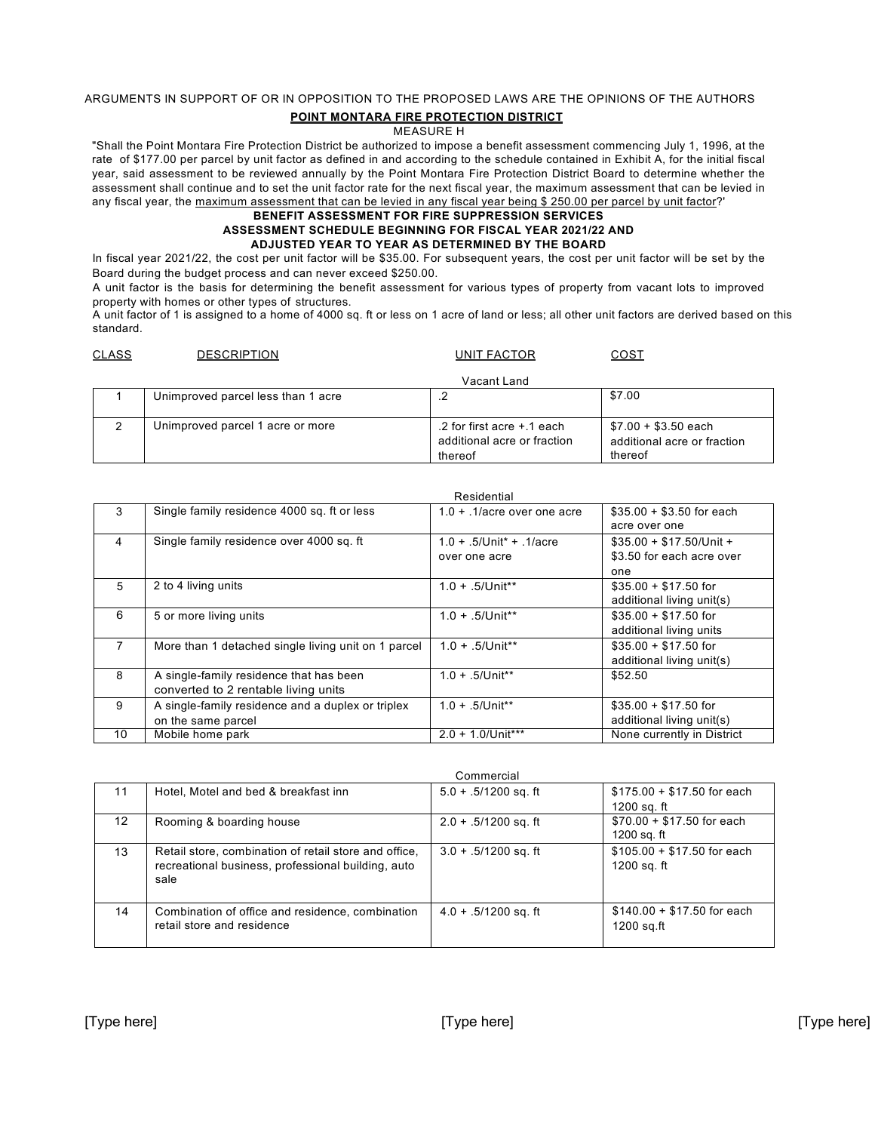# ARGUMENTS IN SUPPORT OF OR IN OPPOSITION TO THE PROPOSED LAWS ARE THE OPINIONS OF THE AUTHORS **POINT MONTARA FIRE PROTECTION DISTRICT**

# MEASURE H

"Shall the Point Montara Fire Protection District be authorized to impose a benefit assessment commencing July 1, 1996, at the rate of \$177.00 per parcel by unit factor as defined in and according to the schedule contained in Exhibit A, for the initial fiscal year, said assessment to be reviewed annually by the Point Montara Fire Protection District Board to determine whether the assessment shall continue and to set the unit factor rate for the next fiscal year, the maximum assessment that can be levied in any fiscal year, the maximum assessment that can be levied in any fiscal year being \$ 250.00 per parcel by unit factor?'

#### **BENEFIT ASSESSMENT FOR FIRE SUPPRESSION SERVICES ASSESSMENT SCHEDULE BEGINNING FOR FISCAL YEAR 2021/22 AND ADJUSTED YEAR TO YEAR AS DETERMINED BY THE BOARD**

In fiscal year 2021/22, the cost per unit factor will be \$35.00. For subsequent years, the cost per unit factor will be set by the Board during the budget process and can never exceed \$250.00.

A unit factor is the basis for determining the benefit assessment for various types of property from vacant lots to improved property with homes or other types of structures.

A unit factor of 1 is assigned to a home of 4000 sq. ft or less on 1 acre of land or less; all other unit factors are derived based on this standard.

| <b>CLASS</b> | <b>DESCRIPTION</b>                 | <b>UNIT FACTOR</b>                                                   | <u>COST</u>                                                    |
|--------------|------------------------------------|----------------------------------------------------------------------|----------------------------------------------------------------|
|              |                                    | Vacant Land                                                          |                                                                |
|              | Unimproved parcel less than 1 acre |                                                                      | \$7.00                                                         |
|              | Unimproved parcel 1 acre or more   | .2 for first acre +.1 each<br>additional acre or fraction<br>thereof | $$7.00 + $3.50$ each<br>additional acre or fraction<br>thereof |

|                |                                                     | Residential                             |                            |
|----------------|-----------------------------------------------------|-----------------------------------------|----------------------------|
| 3              | Single family residence 4000 sq. ft or less         | $1.0 + .1/$ acre over one acre          | $$35.00 + $3.50$ for each  |
|                |                                                     |                                         | acre over one              |
| 4              | Single family residence over 4000 sq. ft.           | $1.0 + .5$ /Unit <sup>*</sup> + .1/acre | $$35.00 + $17.50/U$ nit +  |
|                |                                                     | over one acre                           | \$3.50 for each acre over  |
|                |                                                     |                                         | one                        |
| 5              | 2 to 4 living units                                 | $1.0 + .5$ /Unit**                      | $$35.00 + $17.50$ for      |
|                |                                                     |                                         | additional living unit(s)  |
| 6              | 5 or more living units                              | $1.0 + .5$ /Unit**                      | $$35.00 + $17.50$ for      |
|                |                                                     |                                         | additional living units    |
| $\overline{7}$ | More than 1 detached single living unit on 1 parcel | $1.0 + 5$ /Unit**                       | $$35.00 + $17.50$ for      |
|                |                                                     |                                         | additional living unit(s)  |
| 8              | A single-family residence that has been             | $1.0 + .5$ /Unit**                      | \$52.50                    |
|                | converted to 2 rentable living units                |                                         |                            |
| 9              | A single-family residence and a duplex or triplex   | $1.0 + .5$ /Unit**                      | $$35.00 + $17.50$ for      |
|                | on the same parcel                                  |                                         | additional living unit(s)  |
| 10             | Mobile home park                                    | $2.0 + 1.0$ /Unit***                    | None currently in District |

|    |                                                                                                                     | Commercial             |                                            |
|----|---------------------------------------------------------------------------------------------------------------------|------------------------|--------------------------------------------|
| 11 | Hotel, Motel and bed & breakfast inn                                                                                | $5.0 + .5/1200$ sq. ft | $$175.00 + $17.50$ for each                |
|    |                                                                                                                     |                        | 1200 sq. ft                                |
| 12 | Rooming & boarding house                                                                                            | $2.0 + .5/1200$ sq. ft | $$70.00 + $17.50$ for each<br>1200 sq. ft  |
| 13 | Retail store, combination of retail store and office,<br>recreational business, professional building, auto<br>sale | $3.0 + .5/1200$ sq. ft | $$105.00 + $17.50$ for each<br>1200 sq. ft |
| 14 | Combination of office and residence, combination<br>retail store and residence                                      | $4.0 + 5/1200$ sq. ft  | $$140.00 + $17.50$ for each<br>1200 sq.ft  |